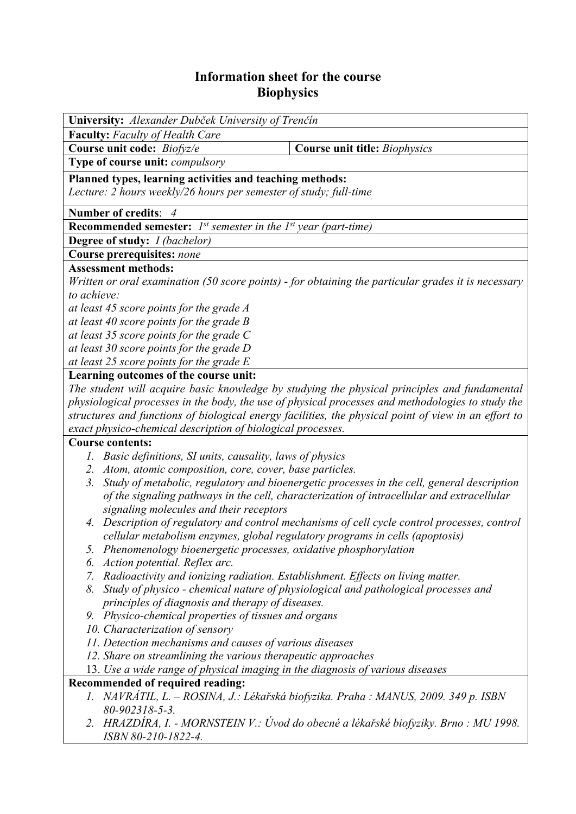## **Information sheet for the course Biophysics**

| University: Alexander Dubček University of Trenčín                                                  |                                                                                                                                                                                          |  |  |  |  |  |
|-----------------------------------------------------------------------------------------------------|------------------------------------------------------------------------------------------------------------------------------------------------------------------------------------------|--|--|--|--|--|
| <b>Faculty:</b> Faculty of Health Care                                                              |                                                                                                                                                                                          |  |  |  |  |  |
| Course unit code: Biofyz/e                                                                          | <b>Course unit title: Biophysics</b>                                                                                                                                                     |  |  |  |  |  |
| Type of course unit: compulsory                                                                     |                                                                                                                                                                                          |  |  |  |  |  |
| Planned types, learning activities and teaching methods:                                            |                                                                                                                                                                                          |  |  |  |  |  |
| Lecture: 2 hours weekly/26 hours per semester of study; full-time                                   |                                                                                                                                                                                          |  |  |  |  |  |
| Number of credits: 4                                                                                |                                                                                                                                                                                          |  |  |  |  |  |
| <b>Recommended semester:</b> $I^{st}$ semester in the $I^{st}$ year (part-time)                     |                                                                                                                                                                                          |  |  |  |  |  |
| <b>Degree of study:</b> <i>I (bachelor)</i>                                                         |                                                                                                                                                                                          |  |  |  |  |  |
| Course prerequisites: none                                                                          |                                                                                                                                                                                          |  |  |  |  |  |
| <b>Assessment methods:</b>                                                                          |                                                                                                                                                                                          |  |  |  |  |  |
| Written or oral examination (50 score points) - for obtaining the particular grades it is necessary |                                                                                                                                                                                          |  |  |  |  |  |
| to achieve:                                                                                         |                                                                                                                                                                                          |  |  |  |  |  |
| at least 45 score points for the grade A                                                            |                                                                                                                                                                                          |  |  |  |  |  |
| at least 40 score points for the grade $B$                                                          |                                                                                                                                                                                          |  |  |  |  |  |
| at least 35 score points for the grade $C$                                                          |                                                                                                                                                                                          |  |  |  |  |  |
| at least 30 score points for the grade D                                                            |                                                                                                                                                                                          |  |  |  |  |  |
| at least 25 score points for the grade $E$                                                          |                                                                                                                                                                                          |  |  |  |  |  |
| Learning outcomes of the course unit:                                                               |                                                                                                                                                                                          |  |  |  |  |  |
| The student will acquire basic knowledge by studying the physical principles and fundamental        |                                                                                                                                                                                          |  |  |  |  |  |
|                                                                                                     | physiological processes in the body, the use of physical processes and methodologies to study the                                                                                        |  |  |  |  |  |
|                                                                                                     | structures and functions of biological energy facilities, the physical point of view in an effort to                                                                                     |  |  |  |  |  |
| exact physico-chemical description of biological processes.                                         |                                                                                                                                                                                          |  |  |  |  |  |
| <b>Course contents:</b>                                                                             |                                                                                                                                                                                          |  |  |  |  |  |
| 1. Basic definitions, SI units, causality, laws of physics                                          |                                                                                                                                                                                          |  |  |  |  |  |
| 2. Atom, atomic composition, core, cover, base particles.<br>3.                                     |                                                                                                                                                                                          |  |  |  |  |  |
|                                                                                                     | Study of metabolic, regulatory and bioenergetic processes in the cell, general description<br>of the signaling pathways in the cell, characterization of intracellular and extracellular |  |  |  |  |  |
| signaling molecules and their receptors                                                             |                                                                                                                                                                                          |  |  |  |  |  |
| 4.                                                                                                  | Description of regulatory and control mechanisms of cell cycle control processes, control                                                                                                |  |  |  |  |  |
| cellular metabolism enzymes, global regulatory programs in cells (apoptosis)                        |                                                                                                                                                                                          |  |  |  |  |  |
| 5. Phenomenology bioenergetic processes, oxidative phosphorylation                                  |                                                                                                                                                                                          |  |  |  |  |  |
| 6. Action potential. Reflex arc.                                                                    |                                                                                                                                                                                          |  |  |  |  |  |
| 7. Radioactivity and ionizing radiation. Establishment. Effects on living matter.                   |                                                                                                                                                                                          |  |  |  |  |  |
| 8.                                                                                                  | Study of physico - chemical nature of physiological and pathological processes and                                                                                                       |  |  |  |  |  |
| principles of diagnosis and therapy of diseases.                                                    |                                                                                                                                                                                          |  |  |  |  |  |
| 9. Physico-chemical properties of tissues and organs                                                |                                                                                                                                                                                          |  |  |  |  |  |
| 10. Characterization of sensory                                                                     |                                                                                                                                                                                          |  |  |  |  |  |
| 11. Detection mechanisms and causes of various diseases                                             |                                                                                                                                                                                          |  |  |  |  |  |
| 12. Share on streamlining the various therapeutic approaches                                        |                                                                                                                                                                                          |  |  |  |  |  |
| 13. Use a wide range of physical imaging in the diagnosis of various diseases                       |                                                                                                                                                                                          |  |  |  |  |  |
| Recommended of required reading:                                                                    |                                                                                                                                                                                          |  |  |  |  |  |
| $80 - 902318 - 5 - 3$ .                                                                             | 1. NAVRÁTIL, L. – ROSINA, J.: Lékařská biofyzika. Praha : MANUS, 2009. 349 p. ISBN                                                                                                       |  |  |  |  |  |
| ISBN 80-210-1822-4.                                                                                 | 2. HRAZDÍRA, I. - MORNSTEIN V.: Úvod do obecné a lékařské biofyziky. Brno : MU 1998.                                                                                                     |  |  |  |  |  |
|                                                                                                     |                                                                                                                                                                                          |  |  |  |  |  |